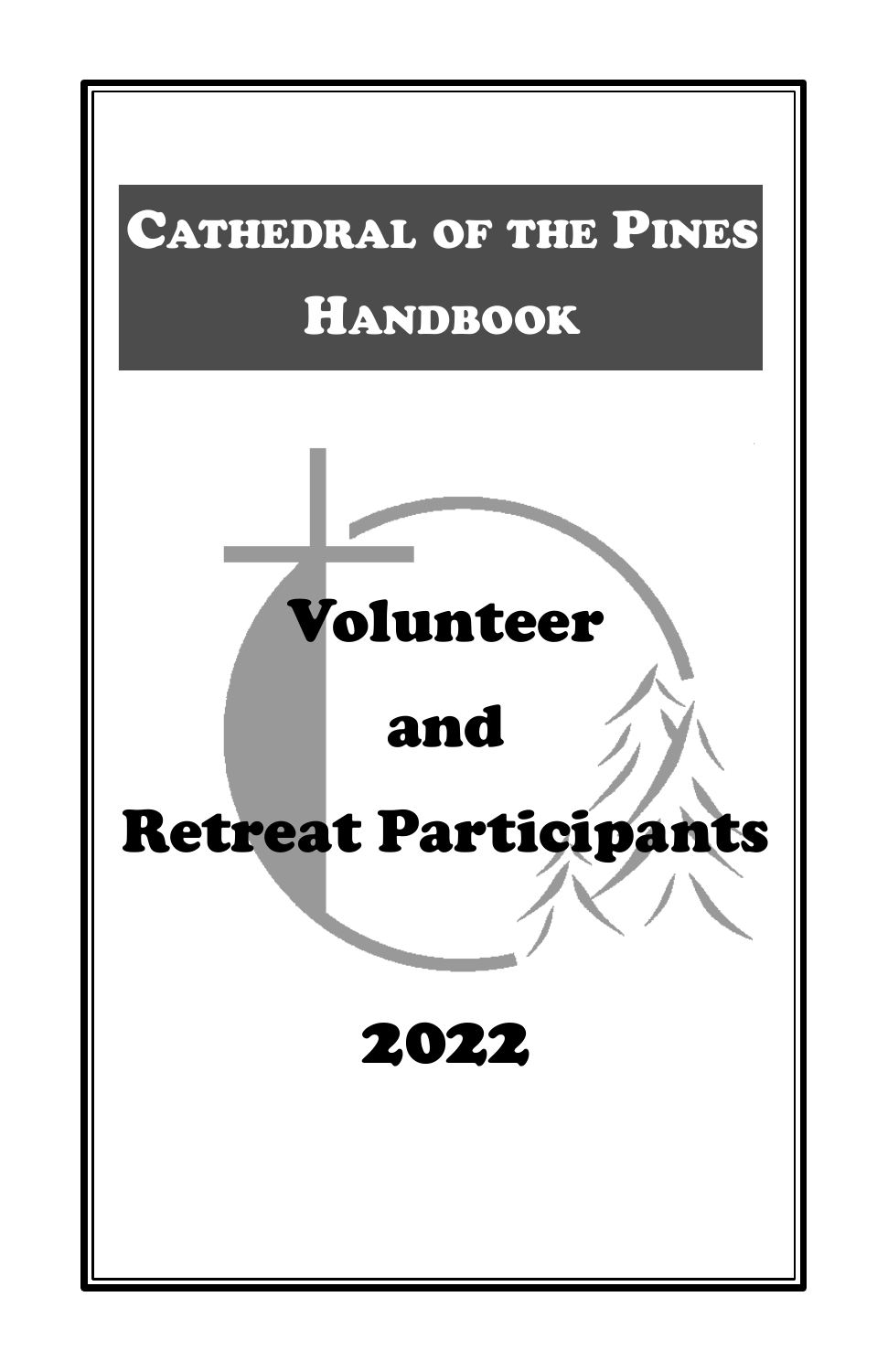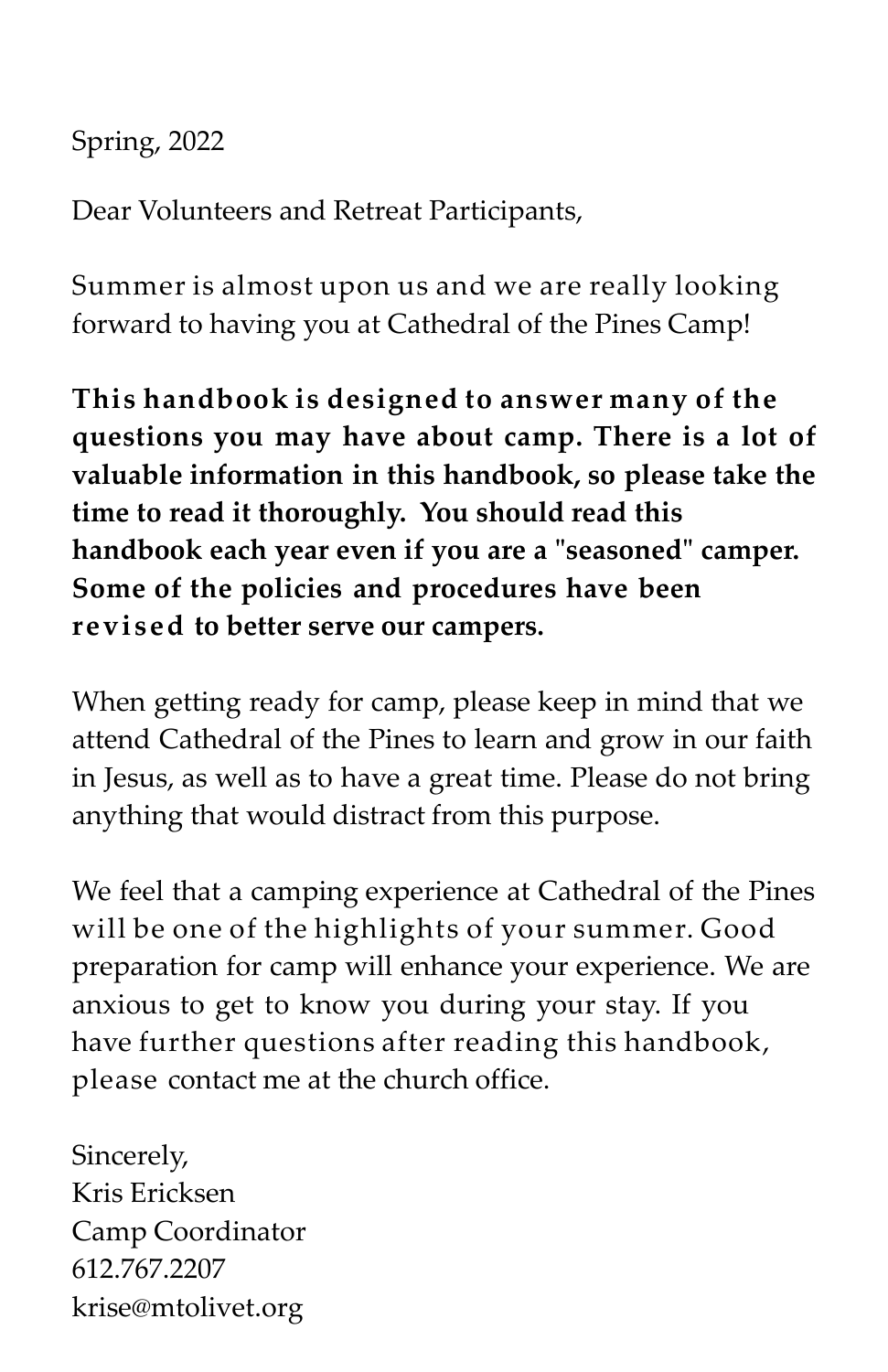Spring, 2022

Dear Volunteers and Retreat Participants,

Summer is almost upon us and we are really looking forward to having you at Cathedral of the Pines Camp!

**This handbook is designed to answer many of the questions you may have about camp. There is a lot of valuable information in this handbook, so please take the time to read it thoroughly. You should read this handbook each year even if you are a "seasoned" camper. Some of the policies and procedures have been revised to better serve our campers.**

When getting ready for camp, please keep in mind that we attend Cathedral of the Pines to learn and grow in our faith in Jesus, as well as to have a great time. Please do not bring anything that would distract from this purpose.

We feel that a camping experience at Cathedral of the Pines will be one of the highlights of your summer. Good preparation for camp will enhance your experience. We are anxious to get to know you during your stay. If you have further questions after reading this handbook, please contact me at the church office.

Sincerely, Kris Ericksen Camp Coordinator 612.767.2207 krise@mtolivet.org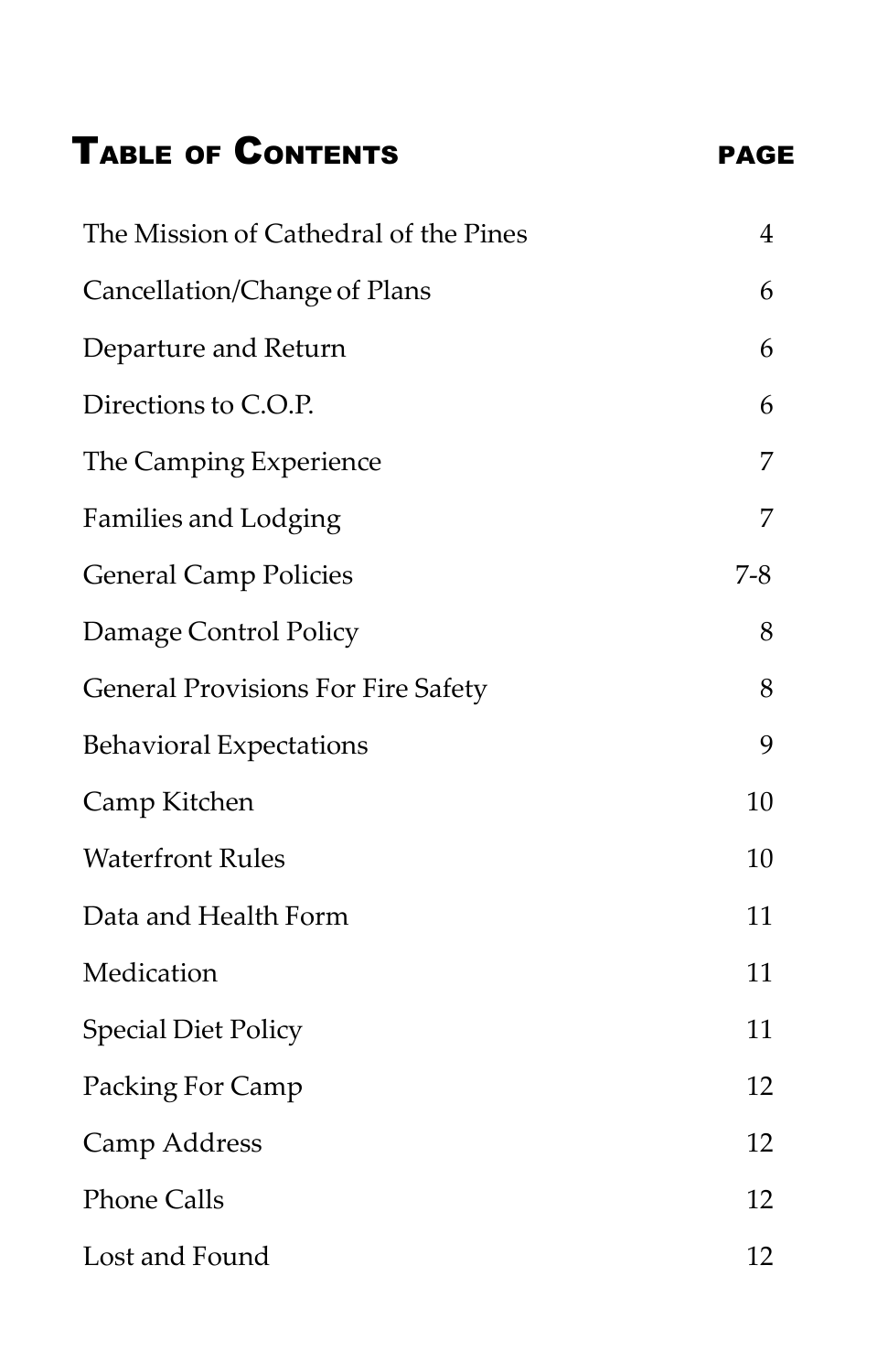# TABLE OF CONTENTS PAGE

| The Mission of Cathedral of the Pines     | $\overline{4}$ |
|-------------------------------------------|----------------|
| Cancellation/Change of Plans              | 6              |
| Departure and Return                      | 6              |
| Directions to C.O.P.                      | 6              |
| The Camping Experience                    | 7              |
| <b>Families and Lodging</b>               | 7              |
| <b>General Camp Policies</b>              | $7 - 8$        |
| Damage Control Policy                     | 8              |
| <b>General Provisions For Fire Safety</b> | 8              |
| <b>Behavioral Expectations</b>            | 9              |
| Camp Kitchen                              | 10             |
| <b>Waterfront Rules</b>                   | 10             |
| Data and Health Form                      | 11             |
| Medication                                | 11             |
| <b>Special Diet Policy</b>                | 11             |
| Packing For Camp                          | 12             |
| Camp Address                              | 12             |
| <b>Phone Calls</b>                        | 12             |
| Lost and Found                            | 12             |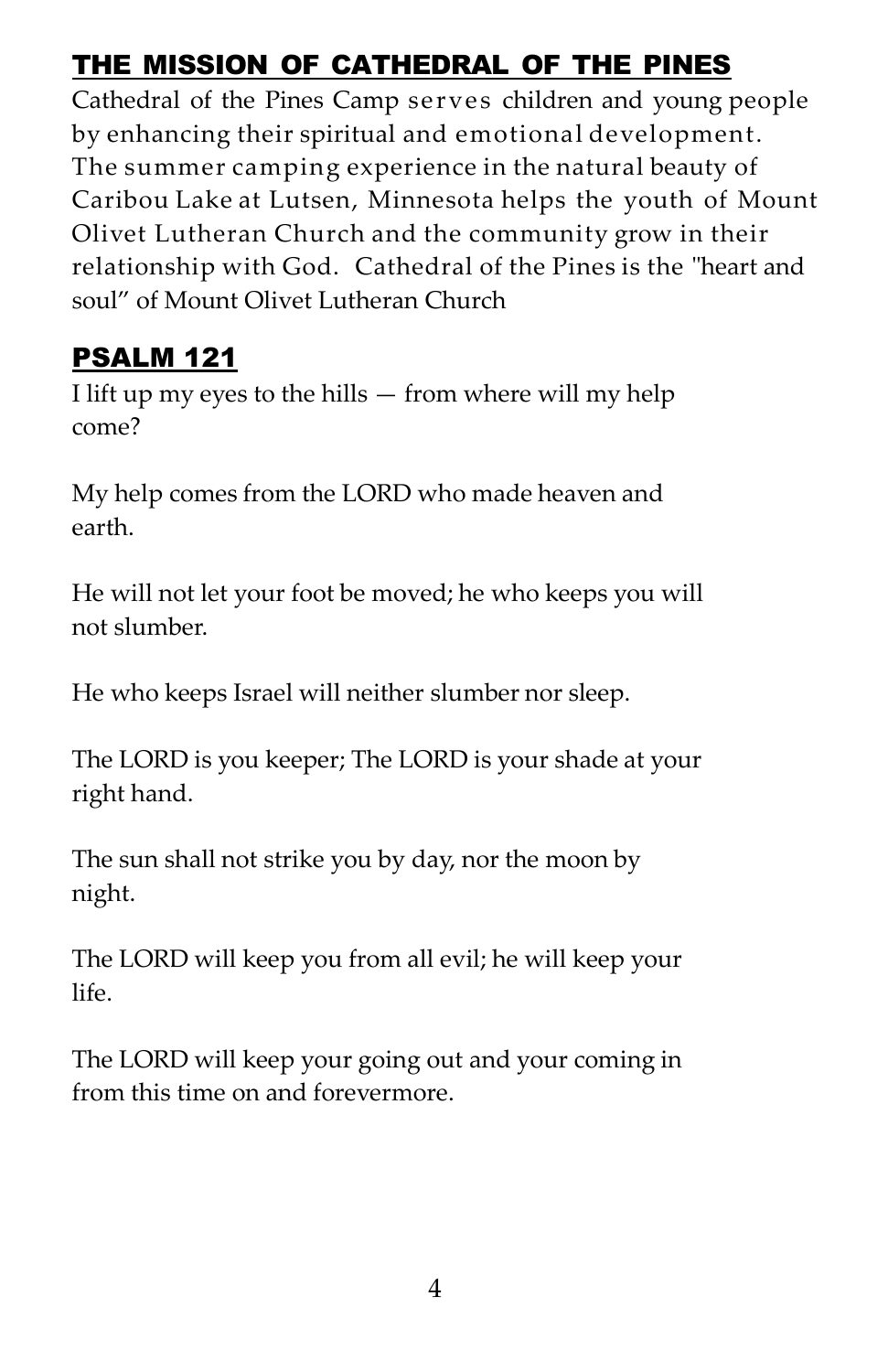## THE MISSION OF CATHEDRAL OF THE PINES

Cathedral of the Pines Camp serves children and young people by enhancing their spiritual and emotional development. The summer camping experience in the natural beauty of Caribou Lake at Lutsen, Minnesota helps the youth of Mount Olivet Lutheran Church and the community grow in their relationship with God. Cathedral of the Pines is the "heart and soul" of Mount Olivet Lutheran Church

### **PSALM 121**

I lift up my eyes to the hills — from where will my help come?

My help comes from the LORD who made heaven and earth.

He will not let your foot be moved; he who keeps you will not slumber.

He who keeps Israel will neither slumber nor sleep.

The LORD is you keeper; The LORD is your shade at your right hand.

The sun shall not strike you by day, nor the moon by night.

The LORD will keep you from all evil; he will keep your life.

The LORD will keep your going out and your coming in from this time on and forevermore.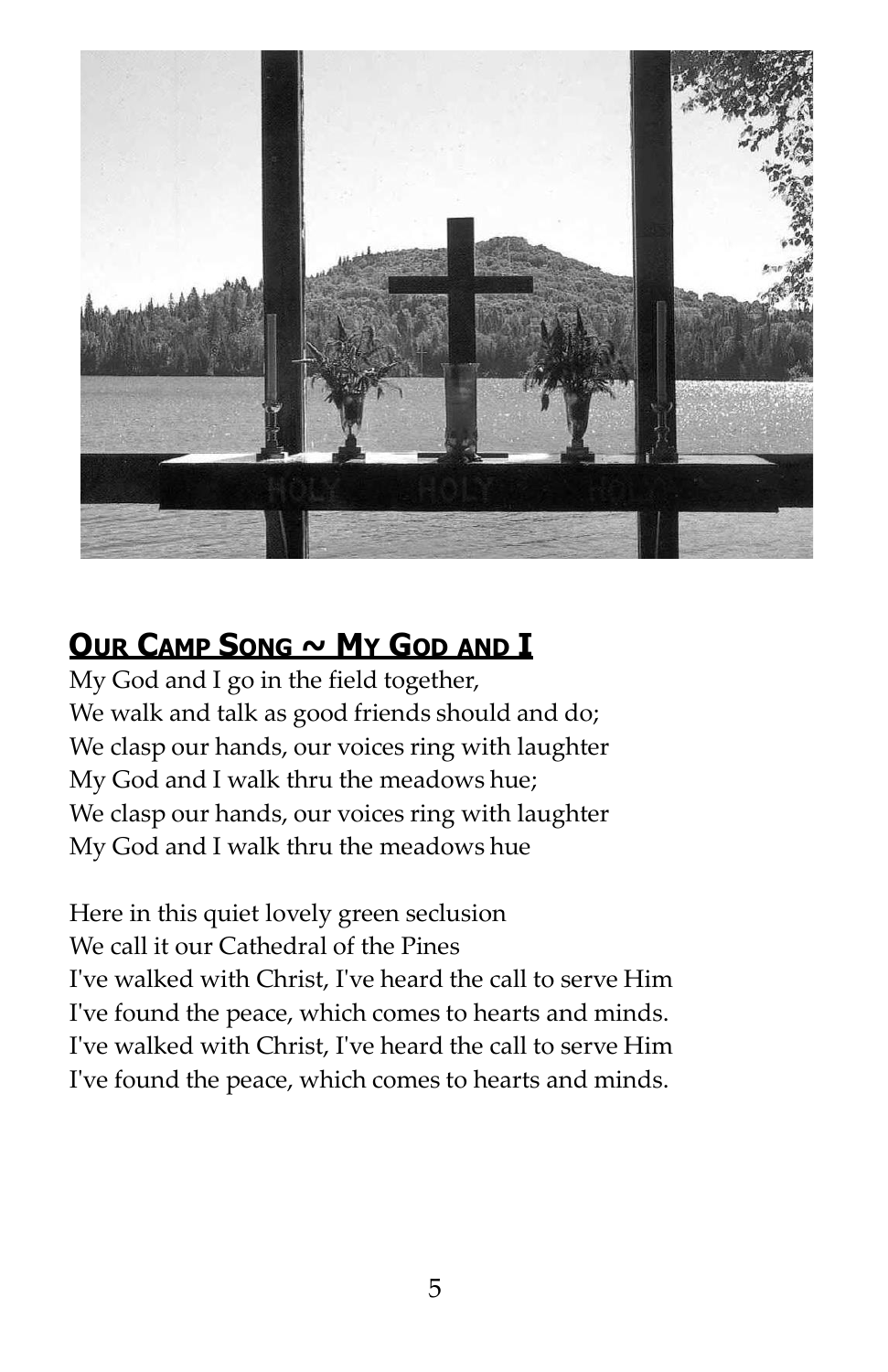

### **OUR CAMP SONG ~ MY GOD AND I**

My God and I go in the field together, We walk and talk as good friends should and do; We clasp our hands, our voices ring with laughter My God and I walk thru the meadows hue; We clasp our hands, our voices ring with laughter My God and I walk thru the meadows hue

Here in this quiet lovely green seclusion We call it our Cathedral of the Pines I've walked with Christ, I've heard the call to serve Him I've found the peace, which comes to hearts and minds. I've walked with Christ, I've heard the call to serve Him I've found the peace, which comes to hearts and minds.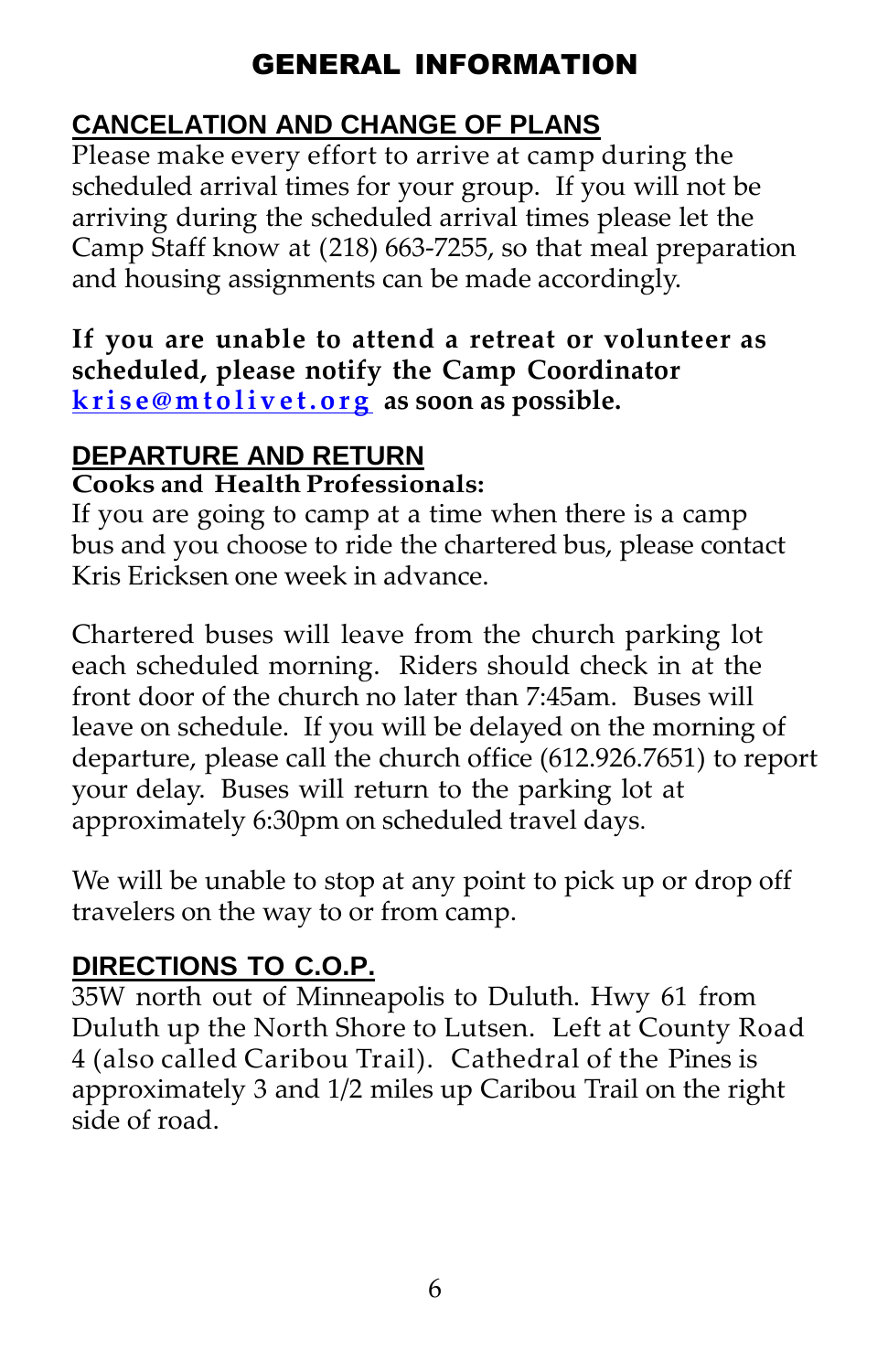### GENERAL INFORMATION

### **CANCELATION AND CHANGE OF PLANS**

Please make every effort to arrive at camp during the scheduled arrival times for your group. If you will not be arriving during the scheduled arrival times please let the Camp Staff know at (218) 663‐7255, so that meal preparation and housing assignments can be made accordingly.

#### **If you are unable to attend a retreat or volunteer as scheduled, please notify the Camp Coordinator [k r i s e @ m t o l i v e t . o r g](mailto:krise@mtolivet.org) as soon as possible.**

#### **DEPARTURE AND RETURN Cooks and Health Professionals:**

If you are going to camp at a time when there is a camp bus and you choose to ride the chartered bus, please contact Kris Ericksen one week in advance.

Chartered buses will leave from the church parking lot each scheduled morning. Riders should check in at the front door of the church no later than 7:45am. Buses will leave on schedule. If you will be delayed on the morning of departure, please call the church office (612.926.7651) to report your delay. Buses will return to the parking lot at approximately 6:30pm on scheduled travel days.

We will be unable to stop at any point to pick up or drop off travelers on the way to or from camp.

#### **DIRECTIONS TO C.O.P.**

35W north out of Minneapolis to Duluth. Hwy 61 from Duluth up the North Shore to Lutsen. Left at County Road 4 (also called Caribou Trail). Cathedral of the Pines is approximately 3 and 1/2 miles up Caribou Trail on the right side of road.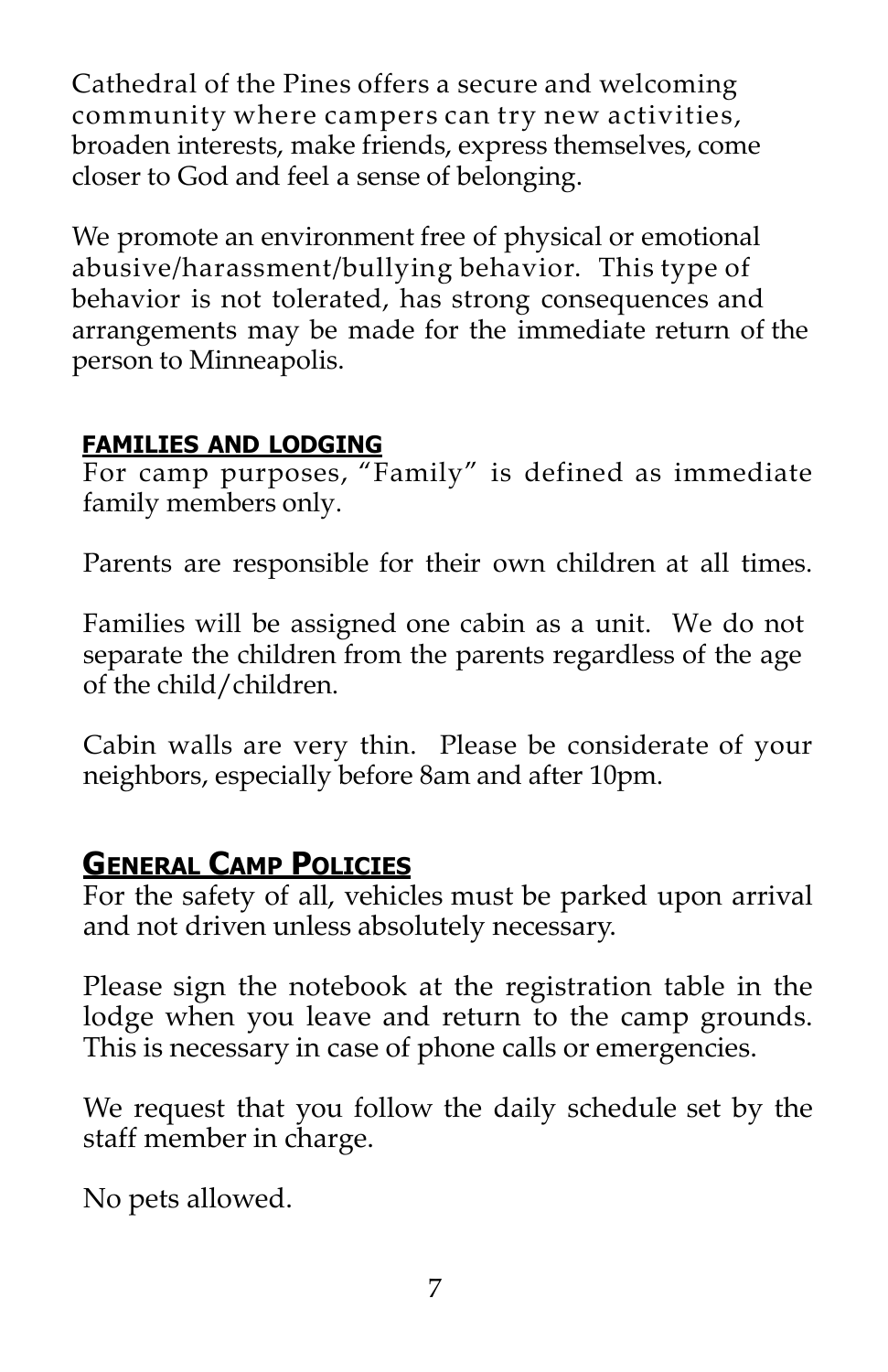Cathedral of the Pines offers a secure and welcoming community where campers can try new activities, broaden interests, make friends, express themselves, come closer to God and feel a sense of belonging.

We promote an environment free of physical or emotional abusive/harassment/bullying behavior. This type of behavior is not tolerated, has strong consequences and arrangements may be made for the immediate return of the person to Minneapolis.

#### **FAMILIES AND LODGING**

For camp purposes, "Family" is defined as immediate family members only.

Parents are responsible for their own children at all times.

Families will be assigned one cabin as a unit. We do not separate the children from the parents regardless of the age of the child/children.

Cabin walls are very thin. Please be considerate of your neighbors, especially before 8am and after 10pm.

#### **GENERAL CAMP POLICIES**

For the safety of all, vehicles must be parked upon arrival and not driven unless absolutely necessary.

Please sign the notebook at the registration table in the lodge when you leave and return to the camp grounds. This is necessary in case of phone calls or emergencies.

We request that you follow the daily schedule set by the staff member in charge.

No pets allowed.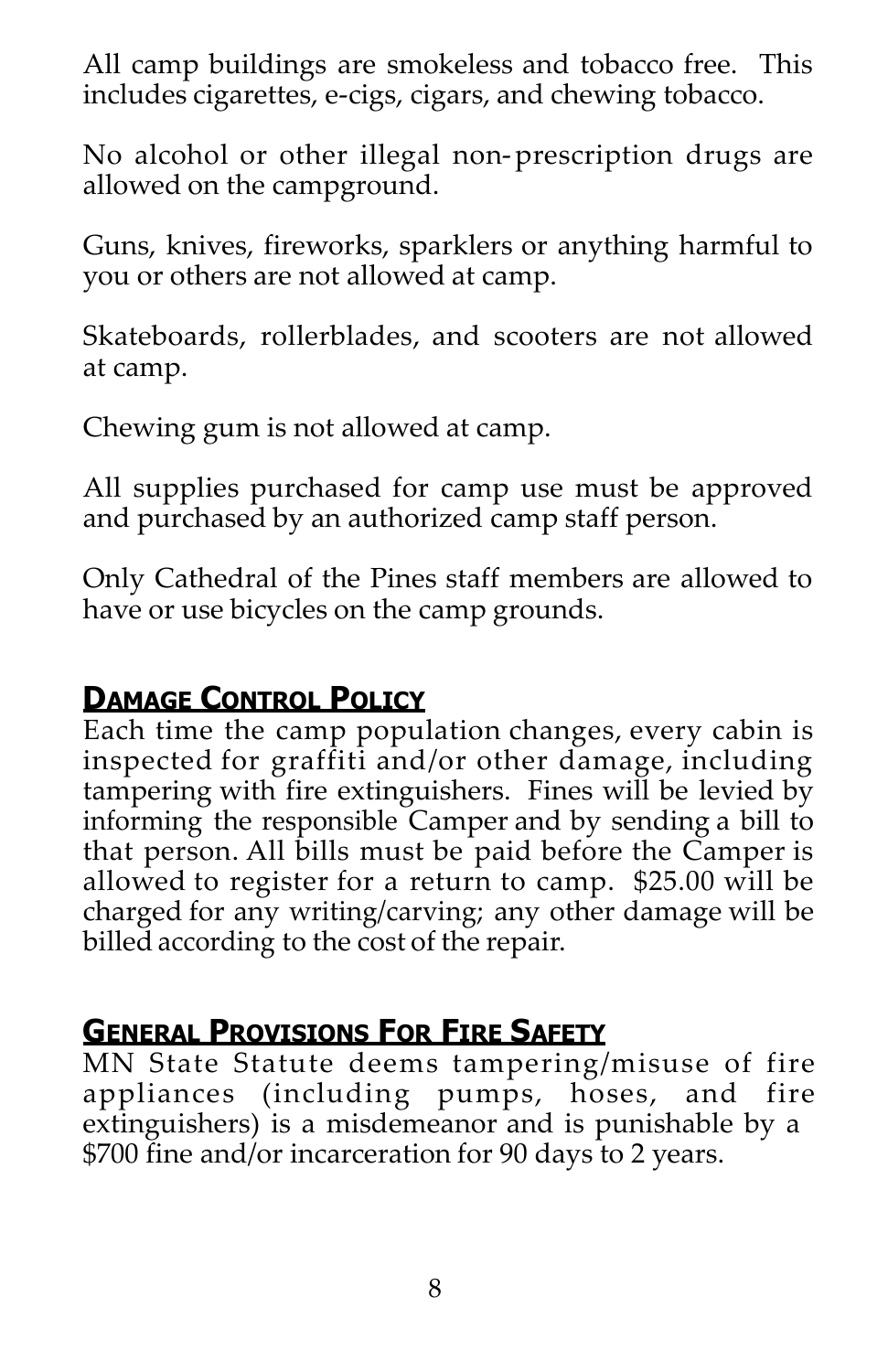All camp buildings are smokeless and tobacco free. This includes cigarettes, e-cigs, cigars, and chewing tobacco.

No alcohol or other illegal non-prescription drugs are allowed on the campground.

Guns, knives, fireworks, sparklers or anything harmful to you or others are not allowed at camp.

Skateboards, rollerblades, and scooters are not allowed at camp.

Chewing gum is not allowed at camp.

All supplies purchased for camp use must be approved and purchased by an authorized camp staff person.

Only Cathedral of the Pines staff members are allowed to have or use bicycles on the camp grounds.

#### **DAMAGE CONTROL POLICY**

Each time the camp population changes, every cabin is inspected for graffiti and/or other damage, including tampering with fire extinguishers. Fines will be levied by informing the responsible Camper and by sending a bill to that person. All bills must be paid before the Camper is allowed to register for a return to camp. \$25.00 will be charged for any writing/carving; any other damage will be billed according to the cost of the repair.

#### **GENERAL PROVISIONS FOR FIRE SAFETY**

MN State Statute deems tampering/misuse of fire appliances (including pumps, hoses, and fire extinguishers) is a misdemeanor and is punishable by a \$700 fine and/or incarceration for 90 days to 2 years.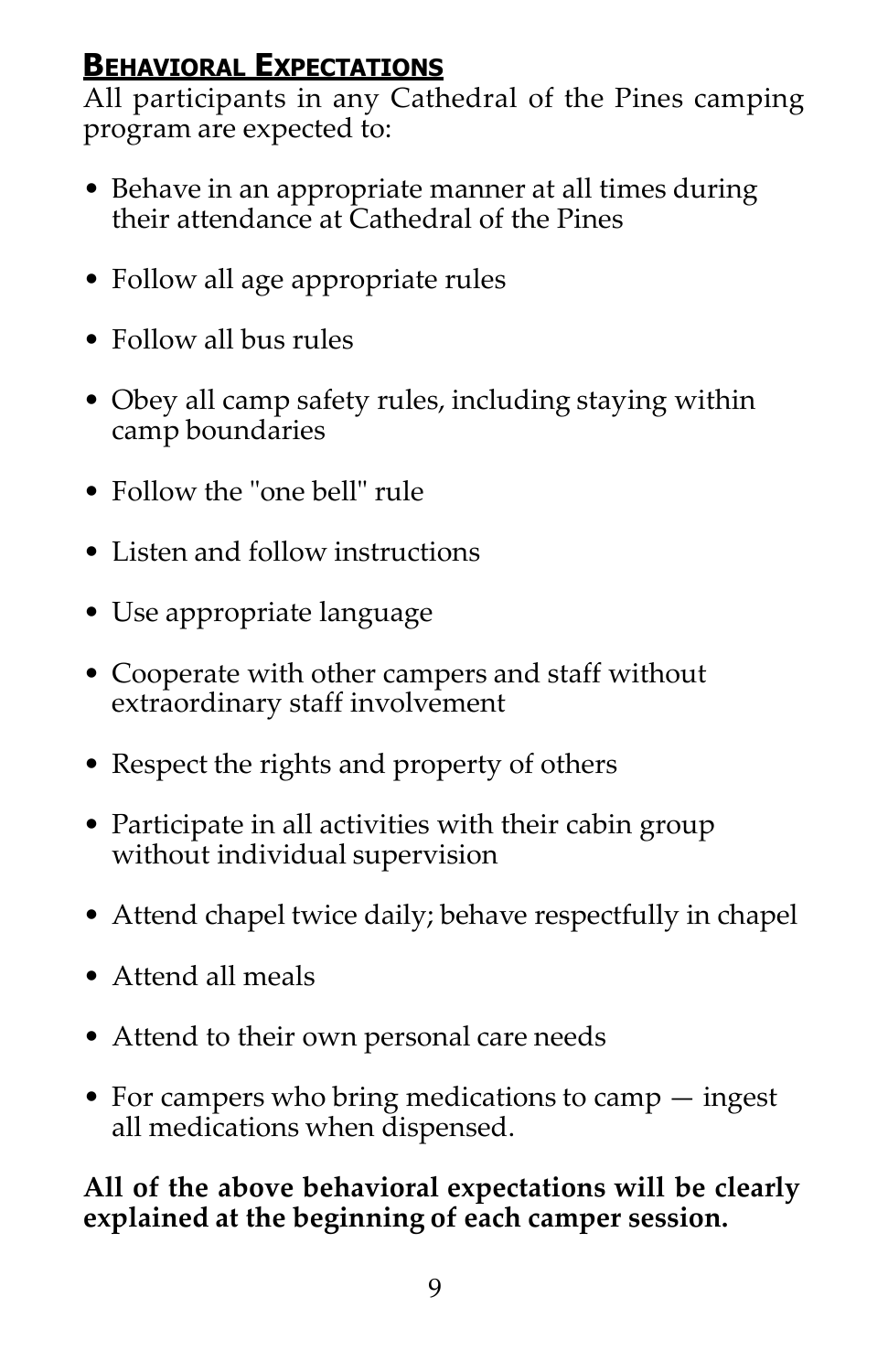#### **BEHAVIORAL EXPECTATIONS**

All participants in any Cathedral of the Pines camping program are expected to:

- Behave in an appropriate manner at all times during their attendance at Cathedral of the Pines
- Follow all age appropriate rules
- Follow all bus rules
- Obey all camp safety rules, including staying within camp boundaries
- Follow the "one bell" rule
- Listen and follow instructions
- Use appropriate language
- Cooperate with other campers and staff without extraordinary staff involvement
- Respect the rights and property of others
- Participate in all activities with their cabin group without individual supervision
- Attend chapel twice daily; behave respectfully in chapel
- Attend all meals
- Attend to their own personal care needs
- For campers who bring medications to camp ingest all medications when dispensed.

**All of the above behavioral expectations will be clearly explained at the beginning of each camper session.**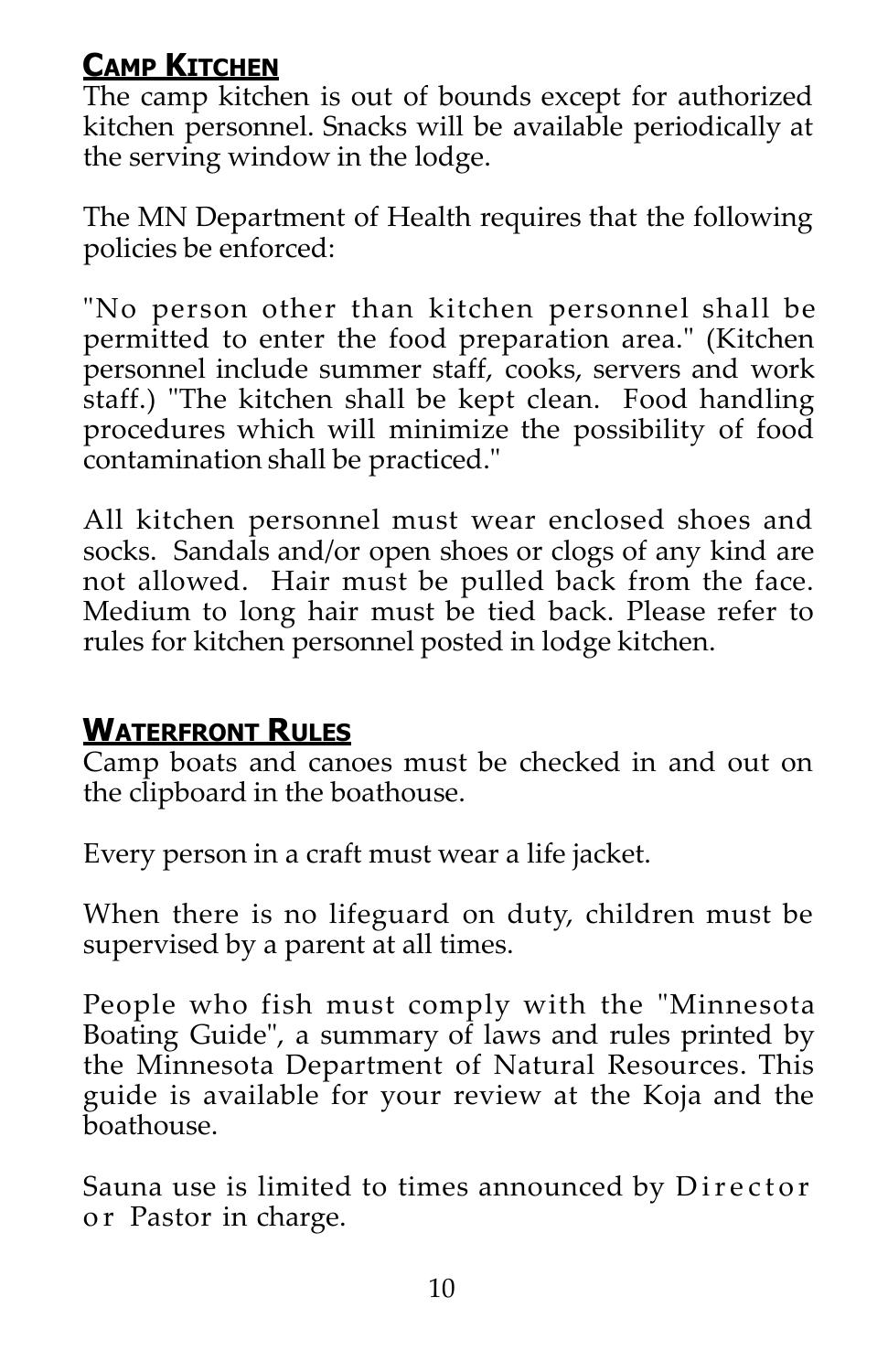## **CAMP KITCHEN**

The camp kitchen is out of bounds except for authorized kitchen personnel. Snacks will be available periodically at the serving window in the lodge.

The MN Department of Health requires that the following policies be enforced:

"No person other than kitchen personnel shall be permitted to enter the food preparation area." (Kitchen personnel include summer staff, cooks, servers and work staff.) "The kitchen shall be kept clean. Food handling procedures which will minimize the possibility of food contamination shall be practiced."

All kitchen personnel must wear enclosed shoes and socks. Sandals and/or open shoes or clogs of any kind are not allowed. Hair must be pulled back from the face. Medium to long hair must be tied back. Please refer to rules for kitchen personnel posted in lodge kitchen.

### **WATERFRONT RULES**

Camp boats and canoes must be checked in and out on the clipboard in the boathouse.

Every person in a craft must wear a life jacket.

When there is no lifeguard on duty, children must be supervised by a parent at all times.

People who fish must comply with the "Minnesota Boating Guide", a summary of laws and rules printed by the Minnesota Department of Natural Resources. This guide is available for your review at the Koja and the boathouse.

Sauna use is limited to times announced by Director or Pastor in charge.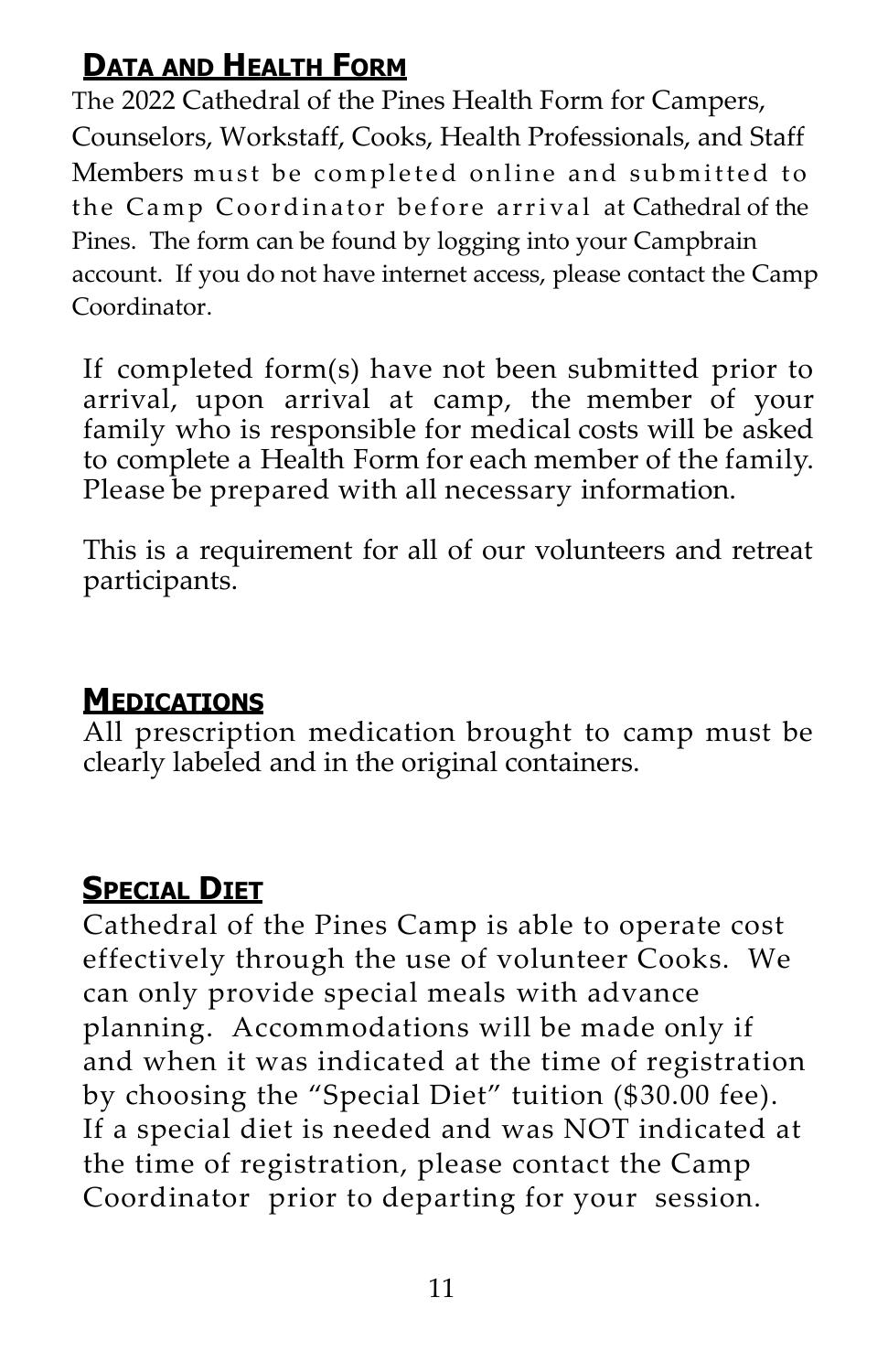## **DATA AND HEALTH FORM**

The 2022 Cathedral of the Pines Health Form for Campers, Counselors, Workstaff, Cooks, Health Professionals, and Staff Members must be completed online and submitted to the Camp Coordinator before arrival at Cathedral of the Pines. The form can be found by logging into your Campbrain account. If you do not have internet access, please contact the Camp Coordinator.

If completed form(s) have not been submitted prior to arrival, upon arrival at camp, the member of your family who is responsible for medical costs will be asked to complete a Health Form for each member of the family. Please be prepared with all necessary information.

This is a requirement for all of our volunteers and retreat participants.

#### **MEDICATIONS**

All prescription medication brought to camp must be clearly labeled and in the original containers.

## **SPECIAL DIET**

Cathedral of the Pines Camp is able to operate cost effectively through the use of volunteer Cooks. We can only provide special meals with advance planning. Accommodations will be made only if and when it was indicated at the time of registration by choosing the "Special Diet" tuition (\$30.00 fee). If a special diet is needed and was NOT indicated at the time of registration, please contact the Camp Coordinator prior to departing for your session.